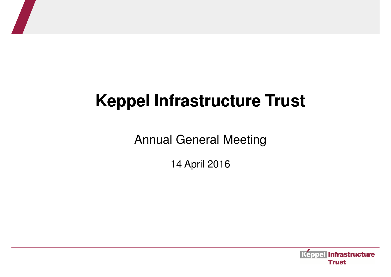## **Keppel Infrastructure Trust**

Annual General Meeting

14 April 2016

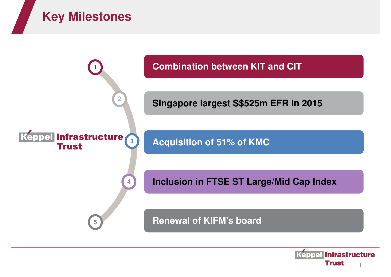



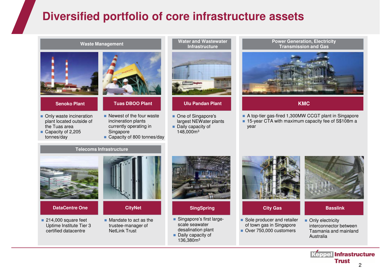## **Diversified portfolio of core infrastructure assets**

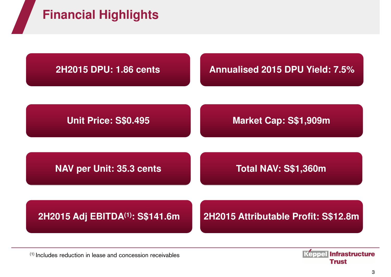



 $(1)$  Includes reduction in lease and concession receivables